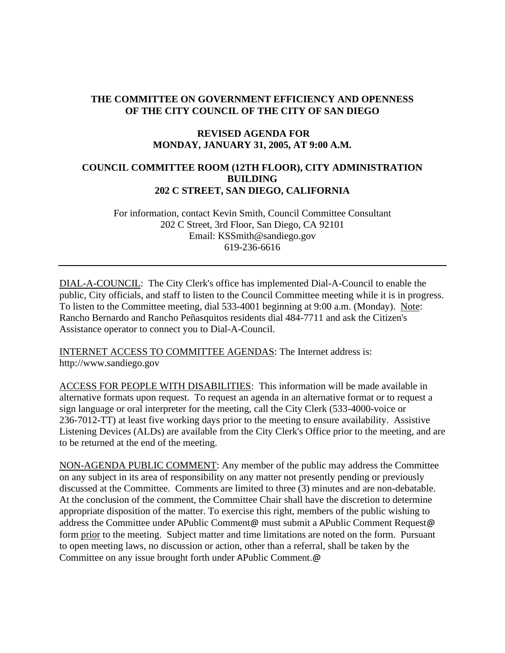# **THE COMMITTEE ON GOVERNMENT EFFICIENCY AND OPENNESS OF THE CITY COUNCIL OF THE CITY OF SAN DIEGO**

# **REVISED AGENDA FOR MONDAY, JANUARY 31, 2005, AT 9:00 A.M.**

## **COUNCIL COMMITTEE ROOM (12TH FLOOR), CITY ADMINISTRATION BUILDING 202 C STREET, SAN DIEGO, CALIFORNIA**

For information, contact Kevin Smith, Council Committee Consultant 202 C Street, 3rd Floor, San Diego, CA 92101 Email: KSSmith@sandiego.gov 619-236-6616

DIAL-A-COUNCIL: The City Clerk's office has implemented Dial-A-Council to enable the public, City officials, and staff to listen to the Council Committee meeting while it is in progress. To listen to the Committee meeting, dial 533-4001 beginning at 9:00 a.m. (Monday). Note: Rancho Bernardo and Rancho Peñasquitos residents dial 484-7711 and ask the Citizen's Assistance operator to connect you to Dial-A-Council.

INTERNET ACCESS TO COMMITTEE AGENDAS: The Internet address is: http://www.sandiego.gov

ACCESS FOR PEOPLE WITH DISABILITIES: This information will be made available in alternative formats upon request. To request an agenda in an alternative format or to request a sign language or oral interpreter for the meeting, call the City Clerk (533-4000-voice or 236-7012-TT) at least five working days prior to the meeting to ensure availability. Assistive Listening Devices (ALDs) are available from the City Clerk's Office prior to the meeting, and are to be returned at the end of the meeting.

NON-AGENDA PUBLIC COMMENT: Any member of the public may address the Committee on any subject in its area of responsibility on any matter not presently pending or previously discussed at the Committee. Comments are limited to three (3) minutes and are non-debatable. At the conclusion of the comment, the Committee Chair shall have the discretion to determine appropriate disposition of the matter. To exercise this right, members of the public wishing to address the Committee under APublic Comment@ must submit a APublic Comment Request@ form prior to the meeting. Subject matter and time limitations are noted on the form. Pursuant to open meeting laws, no discussion or action, other than a referral, shall be taken by the Committee on any issue brought forth under APublic Comment.@